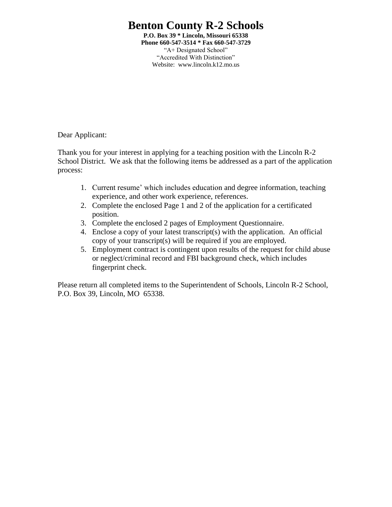# **Benton County R-2 Schools**

**P.O. Box 39 \* Lincoln, Missouri 65338 Phone 660-547-3514 \* Fax 660-547-3729** "A+ Designated School" "Accredited With Distinction" Website: www.lincoln.k12.mo.us

Dear Applicant:

Thank you for your interest in applying for a teaching position with the Lincoln R-2 School District. We ask that the following items be addressed as a part of the application process:

- 1. Current resume' which includes education and degree information, teaching experience, and other work experience, references.
- 2. Complete the enclosed Page 1 and 2 of the application for a certificated position.
- 3. Complete the enclosed 2 pages of Employment Questionnaire.
- 4. Enclose a copy of your latest transcript(s) with the application. An official copy of your transcript(s) will be required if you are employed.
- 5. Employment contract is contingent upon results of the request for child abuse or neglect/criminal record and FBI background check, which includes fingerprint check.

Please return all completed items to the Superintendent of Schools, Lincoln R-2 School, P.O. Box 39, Lincoln, MO 65338.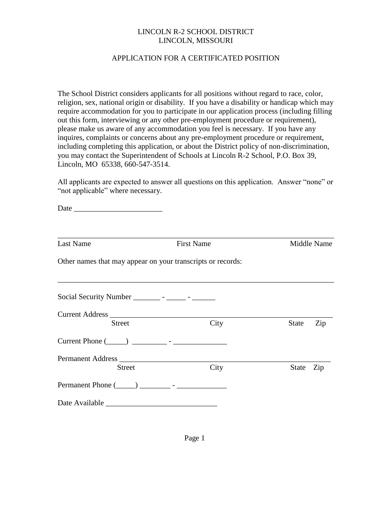#### LINCOLN R-2 SCHOOL DISTRICT LINCOLN, MISSOURI

#### APPLICATION FOR A CERTIFICATED POSITION

The School District considers applicants for all positions without regard to race, color, religion, sex, national origin or disability. If you have a disability or handicap which may require accommodation for you to participate in our application process (including filling out this form, interviewing or any other pre-employment procedure or requirement), please make us aware of any accommodation you feel is necessary. If you have any inquires, complaints or concerns about any pre-employment procedure or requirement, including completing this application, or about the District policy of non-discrimination, you may contact the Superintendent of Schools at Lincoln R-2 School, P.O. Box 39, Lincoln, MO 65338, 660-547-3514.

All applicants are expected to answer all questions on this application. Answer "none" or "not applicable" where necessary.

Date  $\Box$ 

| <b>Last Name</b>                                            | <b>First Name</b> |           | Middle Name |
|-------------------------------------------------------------|-------------------|-----------|-------------|
| Other names that may appear on your transcripts or records: |                   |           |             |
| Social Security Number _________ - _______ - _______        |                   |           |             |
| <b>Street</b>                                               | City              | State     | Zip         |
|                                                             |                   |           |             |
| <b>Street</b>                                               | City              | State Zip |             |
|                                                             |                   |           |             |
|                                                             |                   |           |             |